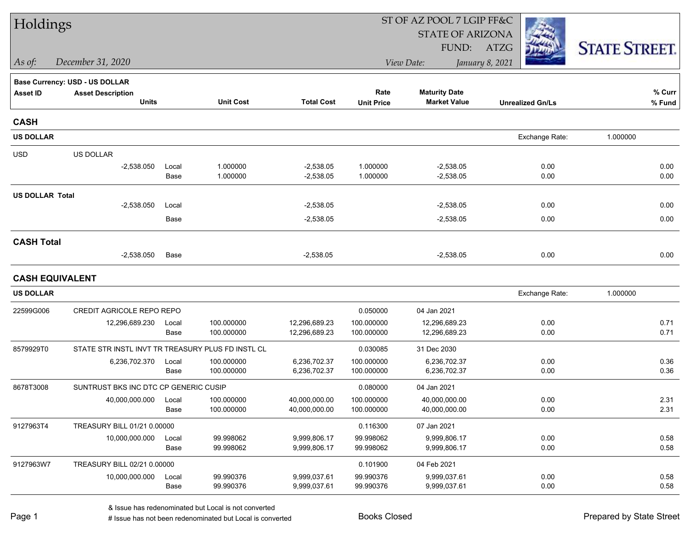| Holdings               |                                                   |               |                          |                              | ST OF AZ POOL 7 LGIP FF&C |                                             |                         |                      |  |  |
|------------------------|---------------------------------------------------|---------------|--------------------------|------------------------------|---------------------------|---------------------------------------------|-------------------------|----------------------|--|--|
|                        |                                                   |               |                          |                              |                           | <b>STATE OF ARIZONA</b>                     |                         |                      |  |  |
|                        |                                                   |               |                          |                              |                           | FUND:                                       | ATZG                    | <b>STATE STREET.</b> |  |  |
| As of:                 | December 31, 2020                                 |               |                          |                              |                           | View Date:                                  | January 8, 2021         |                      |  |  |
|                        | <b>Base Currency: USD - US DOLLAR</b>             |               |                          |                              |                           |                                             |                         |                      |  |  |
| <b>Asset ID</b>        | <b>Asset Description</b><br><b>Units</b>          |               | <b>Unit Cost</b>         | <b>Total Cost</b>            | Rate<br><b>Unit Price</b> | <b>Maturity Date</b><br><b>Market Value</b> | <b>Unrealized Gn/Ls</b> | % Curr<br>% Fund     |  |  |
|                        |                                                   |               |                          |                              |                           |                                             |                         |                      |  |  |
| <b>CASH</b>            |                                                   |               |                          |                              |                           |                                             |                         |                      |  |  |
| <b>US DOLLAR</b>       |                                                   |               |                          |                              |                           |                                             | Exchange Rate:          | 1.000000             |  |  |
| <b>USD</b>             | US DOLLAR                                         |               |                          |                              |                           |                                             |                         |                      |  |  |
|                        | $-2,538.050$                                      | Local         | 1.000000                 | $-2,538.05$                  | 1.000000                  | $-2,538.05$                                 | 0.00                    | 0.00                 |  |  |
|                        |                                                   | Base          | 1.000000                 | $-2,538.05$                  | 1.000000                  | $-2,538.05$                                 | 0.00                    | 0.00                 |  |  |
| <b>US DOLLAR Total</b> |                                                   |               |                          |                              |                           |                                             |                         |                      |  |  |
|                        | $-2,538.050$                                      | Local<br>Base |                          | $-2,538.05$<br>$-2,538.05$   |                           | $-2,538.05$                                 | 0.00<br>0.00            | 0.00<br>0.00         |  |  |
|                        |                                                   |               |                          |                              |                           | $-2,538.05$                                 |                         |                      |  |  |
| <b>CASH Total</b>      |                                                   |               |                          |                              |                           |                                             |                         |                      |  |  |
|                        | $-2,538.050$                                      | Base          |                          | $-2,538.05$                  |                           | $-2,538.05$                                 | 0.00                    | 0.00                 |  |  |
|                        | <b>CASH EQUIVALENT</b>                            |               |                          |                              |                           |                                             |                         |                      |  |  |
| <b>US DOLLAR</b>       |                                                   |               |                          |                              |                           |                                             | Exchange Rate:          | 1.000000             |  |  |
| 22599G006              | CREDIT AGRICOLE REPO REPO                         |               |                          |                              | 0.050000                  | 04 Jan 2021                                 |                         |                      |  |  |
|                        | 12,296,689.230                                    | Local         | 100.000000               | 12,296,689.23                | 100.000000                | 12,296,689.23                               | 0.00                    | 0.71                 |  |  |
|                        |                                                   | Base          | 100.000000               | 12,296,689.23                | 100.000000                | 12,296,689.23                               | 0.00                    | 0.71                 |  |  |
| 8579929T0              | STATE STR INSTL INVT TR TREASURY PLUS FD INSTL CL |               |                          |                              | 0.030085                  | 31 Dec 2030                                 |                         |                      |  |  |
|                        | 6,236,702.370                                     | Local<br>Base | 100.000000<br>100.000000 | 6,236,702.37<br>6,236,702.37 | 100.000000<br>100.000000  | 6,236,702.37<br>6,236,702.37                | 0.00<br>0.00            | 0.36<br>0.36         |  |  |
| 8678T3008              | SUNTRUST BKS INC DTC CP GENERIC CUSIP             |               |                          |                              | 0.080000                  | 04 Jan 2021                                 |                         |                      |  |  |
|                        | 40,000,000.000                                    | Local         | 100.000000               | 40,000,000.00                | 100.000000                | 40,000,000.00                               | 0.00                    | 2.31                 |  |  |
|                        |                                                   | Base          | 100.000000               | 40,000,000.00                | 100.000000                | 40,000,000.00                               | 0.00                    | 2.31                 |  |  |
| 9127963T4              | TREASURY BILL 01/21 0.00000                       |               |                          |                              | 0.116300                  | 07 Jan 2021                                 |                         |                      |  |  |
|                        | 10,000,000.000                                    | Local         | 99.998062                | 9,999,806.17                 | 99.998062                 | 9,999,806.17                                | 0.00                    | 0.58                 |  |  |
|                        |                                                   | Base          | 99.998062                | 9,999,806.17                 | 99.998062                 | 9,999,806.17                                | 0.00                    | 0.58                 |  |  |
| 9127963W7              | TREASURY BILL 02/21 0.00000                       |               |                          |                              | 0.101900                  | 04 Feb 2021                                 |                         |                      |  |  |
|                        | 10,000,000.000                                    | Local<br>Base | 99.990376<br>99.990376   | 9,999,037.61<br>9,999,037.61 | 99.990376<br>99.990376    | 9,999,037.61<br>9,999,037.61                | 0.00<br>0.00            | 0.58<br>0.58         |  |  |
|                        |                                                   |               |                          |                              |                           |                                             |                         |                      |  |  |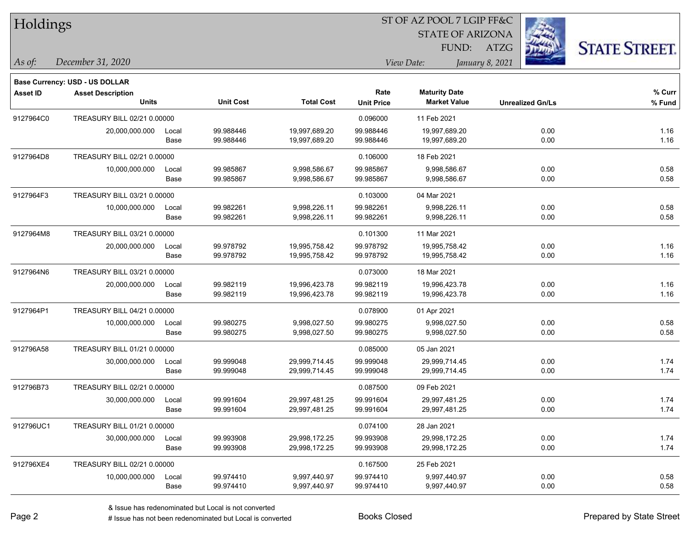| Holdings        |                                                            |       |                  |                   |                   |                         |                 |                         |                      |
|-----------------|------------------------------------------------------------|-------|------------------|-------------------|-------------------|-------------------------|-----------------|-------------------------|----------------------|
|                 |                                                            |       |                  |                   |                   | <b>STATE OF ARIZONA</b> |                 |                         |                      |
|                 |                                                            |       |                  |                   |                   | FUND:                   | <b>ATZG</b>     |                         | <b>STATE STREET.</b> |
| $\vert$ As of:  | December 31, 2020                                          |       |                  |                   |                   | View Date:              | January 8, 2021 |                         |                      |
|                 |                                                            |       |                  |                   |                   |                         |                 |                         |                      |
| <b>Asset ID</b> | Base Currency: USD - US DOLLAR<br><b>Asset Description</b> |       |                  |                   | Rate              | <b>Maturity Date</b>    |                 |                         | % Curr               |
|                 | <b>Units</b>                                               |       | <b>Unit Cost</b> | <b>Total Cost</b> | <b>Unit Price</b> | <b>Market Value</b>     |                 | <b>Unrealized Gn/Ls</b> | % Fund               |
| 9127964C0       | TREASURY BILL 02/21 0.00000                                |       |                  |                   | 0.096000          | 11 Feb 2021             |                 |                         |                      |
|                 | 20,000,000.000                                             | Local | 99.988446        | 19,997,689.20     | 99.988446         | 19,997,689.20           |                 | 0.00                    | 1.16                 |
|                 |                                                            | Base  | 99.988446        | 19,997,689.20     | 99.988446         | 19,997,689.20           |                 | 0.00                    | 1.16                 |
| 9127964D8       | TREASURY BILL 02/21 0.00000                                |       |                  |                   | 0.106000          | 18 Feb 2021             |                 |                         |                      |
|                 | 10,000,000.000                                             | Local | 99.985867        | 9,998,586.67      | 99.985867         | 9,998,586.67            |                 | 0.00                    | 0.58                 |
|                 |                                                            | Base  | 99.985867        | 9,998,586.67      | 99.985867         | 9,998,586.67            |                 | 0.00                    | 0.58                 |
| 9127964F3       | TREASURY BILL 03/21 0.00000                                |       |                  |                   | 0.103000          | 04 Mar 2021             |                 |                         |                      |
|                 | 10,000,000.000                                             | Local | 99.982261        | 9,998,226.11      | 99.982261         | 9,998,226.11            |                 | 0.00                    | 0.58                 |
|                 |                                                            | Base  | 99.982261        | 9,998,226.11      | 99.982261         | 9,998,226.11            |                 | 0.00                    | 0.58                 |
| 9127964M8       | TREASURY BILL 03/21 0.00000                                |       |                  |                   | 0.101300          | 11 Mar 2021             |                 |                         |                      |
|                 | 20,000,000.000                                             | Local | 99.978792        | 19,995,758.42     | 99.978792         | 19,995,758.42           |                 | 0.00                    | 1.16                 |
|                 |                                                            | Base  | 99.978792        | 19,995,758.42     | 99.978792         | 19,995,758.42           |                 | 0.00                    | 1.16                 |
| 9127964N6       | TREASURY BILL 03/21 0.00000                                |       |                  |                   | 0.073000          | 18 Mar 2021             |                 |                         |                      |
|                 | 20,000,000.000                                             | Local | 99.982119        | 19,996,423.78     | 99.982119         | 19,996,423.78           |                 | 0.00                    | 1.16                 |
|                 |                                                            | Base  | 99.982119        | 19,996,423.78     | 99.982119         | 19,996,423.78           |                 | 0.00                    | 1.16                 |
| 9127964P1       | TREASURY BILL 04/21 0.00000                                |       |                  |                   | 0.078900          | 01 Apr 2021             |                 |                         |                      |
|                 | 10,000,000.000                                             | Local | 99.980275        | 9,998,027.50      | 99.980275         | 9,998,027.50            |                 | 0.00                    | 0.58                 |
|                 |                                                            | Base  | 99.980275        | 9,998,027.50      | 99.980275         | 9,998,027.50            |                 | 0.00                    | 0.58                 |
| 912796A58       | TREASURY BILL 01/21 0.00000                                |       |                  |                   | 0.085000          | 05 Jan 2021             |                 |                         |                      |
|                 | 30,000,000.000                                             | Local | 99.999048        | 29,999,714.45     | 99.999048         | 29,999,714.45           |                 | 0.00                    | 1.74                 |
|                 |                                                            | Base  | 99.999048        | 29,999,714.45     | 99.999048         | 29,999,714.45           |                 | 0.00                    | 1.74                 |
| 912796B73       | TREASURY BILL 02/21 0.00000                                |       |                  |                   | 0.087500          | 09 Feb 2021             |                 |                         |                      |
|                 | 30,000,000.000                                             | Local | 99.991604        | 29,997,481.25     | 99.991604         | 29,997,481.25           |                 | 0.00                    | 1.74                 |
|                 |                                                            | Base  | 99.991604        | 29,997,481.25     | 99.991604         | 29,997,481.25           |                 | 0.00                    | 1.74                 |
| 912796UC1       | TREASURY BILL 01/21 0.00000                                |       |                  |                   | 0.074100          | 28 Jan 2021             |                 |                         |                      |
|                 | 30,000,000.000                                             | Local | 99.993908        | 29,998,172.25     | 99.993908         | 29,998,172.25           |                 | 0.00                    | 1.74                 |
|                 |                                                            | Base  | 99.993908        | 29,998,172.25     | 99.993908         | 29,998,172.25           |                 | 0.00                    | 1.74                 |
| 912796XE4       | TREASURY BILL 02/21 0.00000                                |       |                  |                   | 0.167500          | 25 Feb 2021             |                 |                         |                      |
|                 | 10,000,000.000                                             | Local | 99.974410        | 9,997,440.97      | 99.974410         | 9,997,440.97            |                 | 0.00                    | 0.58                 |
|                 |                                                            | Base  | 99.974410        | 9,997,440.97      | 99.974410         | 9,997,440.97            |                 | 0.00                    | 0.58                 |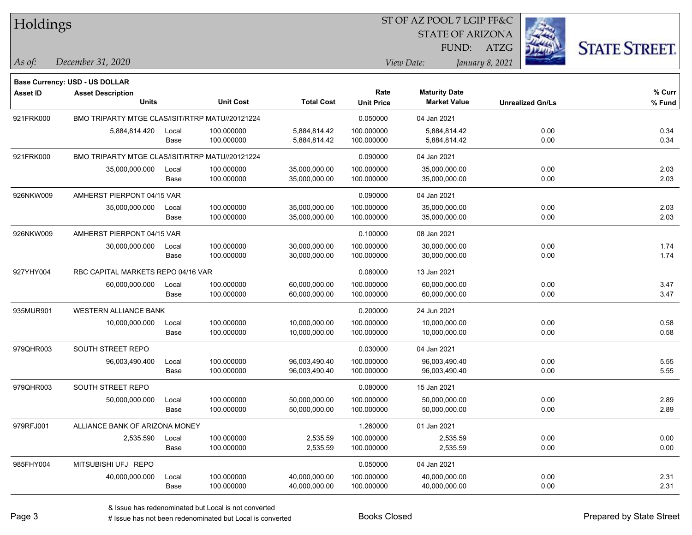| Holdings        |                                                 |               |                          |                                |                           | 51 OF AZ POOL 7 LGIP FF&C                   |                 |                         |                      |
|-----------------|-------------------------------------------------|---------------|--------------------------|--------------------------------|---------------------------|---------------------------------------------|-----------------|-------------------------|----------------------|
|                 |                                                 |               |                          |                                |                           | <b>STATE OF ARIZONA</b>                     |                 | Ż.                      |                      |
|                 |                                                 |               |                          |                                |                           | FUND:                                       | ATZG            |                         | <b>STATE STREET.</b> |
| As of:          | December 31, 2020                               |               |                          |                                |                           | View Date:                                  | January 8, 2021 |                         |                      |
|                 | <b>Base Currency: USD - US DOLLAR</b>           |               |                          |                                |                           |                                             |                 |                         |                      |
| <b>Asset ID</b> | <b>Asset Description</b><br><b>Units</b>        |               | <b>Unit Cost</b>         | <b>Total Cost</b>              | Rate<br><b>Unit Price</b> | <b>Maturity Date</b><br><b>Market Value</b> |                 | <b>Unrealized Gn/Ls</b> | $%$ Curr<br>% Fund   |
| 921FRK000       | BMO TRIPARTY MTGE CLAS/ISIT/RTRP MATU//20121224 |               |                          |                                | 0.050000                  | 04 Jan 2021                                 |                 |                         |                      |
|                 | 5,884,814.420                                   | Local<br>Base | 100.000000<br>100.000000 | 5,884,814.42<br>5,884,814.42   | 100.000000<br>100.000000  | 5,884,814.42<br>5,884,814.42                |                 | 0.00<br>0.00            | 0.34<br>0.34         |
| 921FRK000       | BMO TRIPARTY MTGE CLAS/ISIT/RTRP MATU//20121224 |               |                          |                                | 0.090000                  | 04 Jan 2021                                 |                 |                         |                      |
|                 | 35,000,000.000                                  | Local<br>Base | 100.000000<br>100.000000 | 35,000,000.00<br>35,000,000.00 | 100.000000<br>100.000000  | 35,000,000.00<br>35,000,000.00              |                 | 0.00<br>0.00            | 2.03<br>2.03         |
| 926NKW009       | AMHERST PIERPONT 04/15 VAR                      |               |                          |                                | 0.090000                  | 04 Jan 2021                                 |                 |                         |                      |
|                 | 35,000,000.000                                  | Local<br>Base | 100.000000<br>100.000000 | 35,000,000.00<br>35,000,000.00 | 100.000000<br>100.000000  | 35,000,000.00<br>35,000,000.00              |                 | 0.00<br>0.00            | 2.03<br>2.03         |
| 926NKW009       | AMHERST PIERPONT 04/15 VAR                      |               |                          |                                | 0.100000                  | 08 Jan 2021                                 |                 |                         |                      |
|                 | 30,000,000.000                                  | Local<br>Base | 100.000000<br>100.000000 | 30,000,000.00<br>30,000,000.00 | 100.000000<br>100.000000  | 30,000,000.00<br>30,000,000.00              |                 | 0.00<br>0.00            | 1.74<br>1.74         |
| 927YHY004       | RBC CAPITAL MARKETS REPO 04/16 VAR              |               |                          |                                | 0.080000                  | 13 Jan 2021                                 |                 |                         |                      |
|                 | 60,000,000.000                                  | Local<br>Base | 100.000000<br>100.000000 | 60,000,000.00<br>60,000,000.00 | 100.000000<br>100.000000  | 60,000,000.00<br>60,000,000.00              |                 | 0.00<br>0.00            | 3.47<br>3.47         |
| 935MUR901       | <b>WESTERN ALLIANCE BANK</b>                    |               |                          |                                | 0.200000                  | 24 Jun 2021                                 |                 |                         |                      |
|                 | 10,000,000.000                                  | Local<br>Base | 100.000000<br>100.000000 | 10,000,000.00<br>10,000,000.00 | 100.000000<br>100.000000  | 10,000,000.00<br>10,000,000.00              |                 | 0.00<br>0.00            | 0.58<br>0.58         |
| 979QHR003       | SOUTH STREET REPO                               |               |                          |                                | 0.030000                  | 04 Jan 2021                                 |                 |                         |                      |
|                 | 96,003,490.400                                  | Local<br>Base | 100.000000<br>100.000000 | 96,003,490.40<br>96,003,490.40 | 100.000000<br>100.000000  | 96,003,490.40<br>96,003,490.40              |                 | 0.00<br>0.00            | 5.55<br>5.55         |
| 979QHR003       | SOUTH STREET REPO                               |               |                          |                                | 0.080000                  | 15 Jan 2021                                 |                 |                         |                      |
|                 | 50,000,000.000                                  | Local<br>Base | 100.000000<br>100.000000 | 50,000,000.00<br>50,000,000.00 | 100.000000<br>100.000000  | 50,000,000.00<br>50,000,000.00              |                 | 0.00<br>0.00            | 2.89<br>2.89         |
| 979RFJ001       | ALLIANCE BANK OF ARIZONA MONEY                  |               |                          |                                | 1.260000                  | 01 Jan 2021                                 |                 |                         |                      |
|                 | 2,535.590                                       | Local<br>Base | 100.000000<br>100.000000 | 2,535.59<br>2,535.59           | 100.000000<br>100.000000  | 2,535.59<br>2,535.59                        |                 | 0.00<br>0.00            | 0.00<br>0.00         |
| 985FHY004       | MITSUBISHI UFJ REPO                             |               |                          |                                | 0.050000                  | 04 Jan 2021                                 |                 |                         |                      |
|                 | 40,000,000.000                                  | Local<br>Base | 100.000000<br>100.000000 | 40,000,000.00<br>40,000,000.00 | 100.000000<br>100.000000  | 40,000,000.00<br>40,000,000.00              |                 | 0.00<br>0.00            | 2.31<br>2.31         |

 $\overline{\text{SE} + \text{F} \text{DQOL}}$   $\overline{\text{F} \text{I}}$   $\overline{\text{CID}}$   $\overline{\text{F} \text{I}}$   $\overline{\text{CID}}$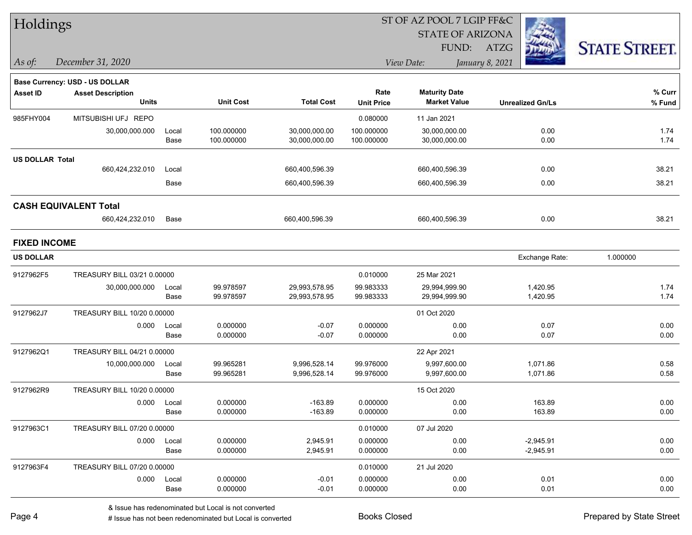| Holdings               |                                |       |                  |                   |                   | ST OF AZ POOL 7 LGIP FF&C |                         |                      |  |  |  |
|------------------------|--------------------------------|-------|------------------|-------------------|-------------------|---------------------------|-------------------------|----------------------|--|--|--|
|                        |                                |       |                  |                   |                   | <b>STATE OF ARIZONA</b>   |                         |                      |  |  |  |
|                        |                                |       |                  |                   |                   | FUND:                     | <b>ATZG</b>             | <b>STATE STREET.</b> |  |  |  |
| $\vert$ As of:         | December 31, 2020              |       |                  |                   |                   | View Date:                | January 8, 2021         |                      |  |  |  |
|                        | Base Currency: USD - US DOLLAR |       |                  |                   |                   |                           |                         |                      |  |  |  |
| <b>Asset ID</b>        | <b>Asset Description</b>       |       |                  |                   | Rate              | <b>Maturity Date</b>      |                         | % Curr               |  |  |  |
|                        | <b>Units</b>                   |       | <b>Unit Cost</b> | <b>Total Cost</b> | <b>Unit Price</b> | <b>Market Value</b>       | <b>Unrealized Gn/Ls</b> | % Fund               |  |  |  |
| 985FHY004              | MITSUBISHI UFJ REPO            |       |                  |                   | 0.080000          | 11 Jan 2021               |                         |                      |  |  |  |
|                        | 30,000,000.000                 | Local | 100.000000       | 30,000,000.00     | 100.000000        | 30,000,000.00             | 0.00                    | 1.74                 |  |  |  |
|                        |                                | Base  | 100.000000       | 30,000,000.00     | 100.000000        | 30,000,000.00             | 0.00                    | 1.74                 |  |  |  |
| <b>US DOLLAR Total</b> |                                |       |                  |                   |                   |                           |                         |                      |  |  |  |
|                        | 660,424,232.010                | Local |                  | 660,400,596.39    |                   | 660,400,596.39            | 0.00                    | 38.21                |  |  |  |
|                        |                                | Base  |                  | 660,400,596.39    |                   | 660,400,596.39            | 0.00                    | 38.21                |  |  |  |
|                        | <b>CASH EQUIVALENT Total</b>   |       |                  |                   |                   |                           |                         |                      |  |  |  |
|                        | 660,424,232.010                | Base  |                  | 660,400,596.39    |                   | 660,400,596.39            | 0.00                    | 38.21                |  |  |  |
| <b>FIXED INCOME</b>    |                                |       |                  |                   |                   |                           |                         |                      |  |  |  |
| <b>US DOLLAR</b>       |                                |       |                  |                   |                   |                           | Exchange Rate:          | 1.000000             |  |  |  |
| 9127962F5              | TREASURY BILL 03/21 0.00000    |       |                  |                   | 0.010000          | 25 Mar 2021               |                         |                      |  |  |  |
|                        | 30,000,000.000                 | Local | 99.978597        | 29,993,578.95     | 99.983333         | 29,994,999.90             | 1,420.95                | 1.74                 |  |  |  |
|                        |                                | Base  | 99.978597        | 29,993,578.95     | 99.983333         | 29,994,999.90             | 1,420.95                | 1.74                 |  |  |  |
| 9127962J7              | TREASURY BILL 10/20 0.00000    |       |                  |                   |                   | 01 Oct 2020               |                         |                      |  |  |  |
|                        | 0.000                          | Local | 0.000000         | $-0.07$           | 0.000000          | 0.00                      | 0.07                    | 0.00                 |  |  |  |
|                        |                                | Base  | 0.000000         | $-0.07$           | 0.000000          | 0.00                      | 0.07                    | 0.00                 |  |  |  |
| 9127962Q1              | TREASURY BILL 04/21 0.00000    |       |                  |                   |                   | 22 Apr 2021               |                         |                      |  |  |  |
|                        | 10,000,000.000                 | Local | 99.965281        | 9,996,528.14      | 99.976000         | 9,997,600.00              | 1,071.86                | 0.58                 |  |  |  |
|                        |                                | Base  | 99.965281        | 9,996,528.14      | 99.976000         | 9,997,600.00              | 1,071.86                | 0.58                 |  |  |  |
| 9127962R9              | TREASURY BILL 10/20 0.00000    |       |                  |                   |                   | 15 Oct 2020               |                         |                      |  |  |  |
|                        | 0.000                          | Local | 0.000000         | -163.89           | 0.000000          | 0.00                      | 163.89                  | 0.00                 |  |  |  |
|                        |                                | Base  | 0.000000         | $-163.89$         | 0.000000          | 0.00                      | 163.89                  | 0.00                 |  |  |  |
| 9127963C1              | TREASURY BILL 07/20 0.00000    |       |                  |                   | 0.010000          | 07 Jul 2020               |                         |                      |  |  |  |
|                        | 0.000                          | Local | 0.000000         | 2,945.91          | 0.000000          | 0.00                      | $-2,945.91$             | 0.00                 |  |  |  |
|                        |                                | Base  | 0.000000         | 2,945.91          | 0.000000          | 0.00                      | $-2,945.91$             | 0.00                 |  |  |  |
| 9127963F4              | TREASURY BILL 07/20 0.00000    |       |                  |                   | 0.010000          | 21 Jul 2020               |                         |                      |  |  |  |
|                        | 0.000                          | Local | 0.000000         | $-0.01$           | 0.000000          | 0.00                      | 0.01                    | 0.00                 |  |  |  |
|                        |                                | Base  | 0.000000         | $-0.01$           | 0.000000          | 0.00                      | 0.01                    | 0.00                 |  |  |  |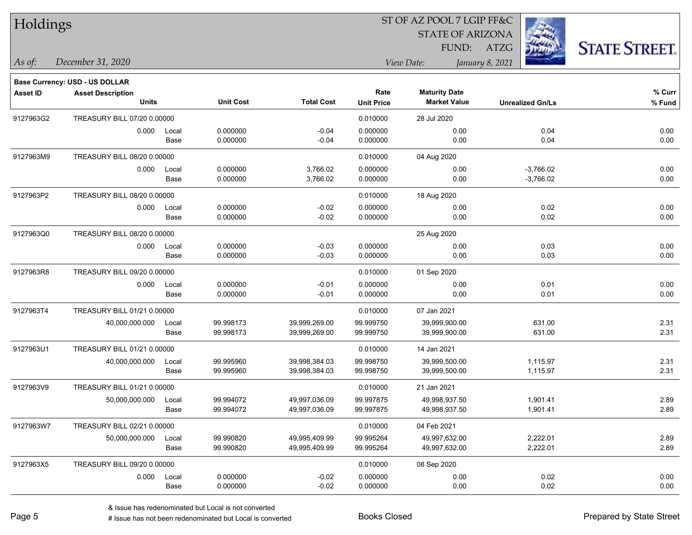| Holdings        |                                       |       |                  |                   |                   | ST OF AZ POOL 7 LGIP FF&C |                         |                      |
|-----------------|---------------------------------------|-------|------------------|-------------------|-------------------|---------------------------|-------------------------|----------------------|
|                 |                                       |       |                  |                   |                   | <b>STATE OF ARIZONA</b>   |                         |                      |
|                 |                                       |       |                  |                   |                   | FUND:                     | ATZG                    | <b>STATE STREET.</b> |
| As of:          | December 31, 2020                     |       |                  |                   |                   | View Date:                | January 8, 2021         |                      |
|                 | <b>Base Currency: USD - US DOLLAR</b> |       |                  |                   |                   |                           |                         |                      |
| <b>Asset ID</b> | <b>Asset Description</b>              |       |                  |                   | Rate              | <b>Maturity Date</b>      |                         | % Curr               |
|                 | <b>Units</b>                          |       | <b>Unit Cost</b> | <b>Total Cost</b> | <b>Unit Price</b> | <b>Market Value</b>       | <b>Unrealized Gn/Ls</b> | % Fund               |
| 9127963G2       | TREASURY BILL 07/20 0.00000           |       |                  |                   | 0.010000          | 28 Jul 2020               |                         |                      |
|                 | 0.000                                 | Local | 0.000000         | $-0.04$           | 0.000000          | 0.00                      | 0.04                    | 0.00                 |
|                 |                                       | Base  | 0.000000         | $-0.04$           | 0.000000          | 0.00                      | 0.04                    | 0.00                 |
| 9127963M9       | TREASURY BILL 08/20 0.00000           |       |                  |                   | 0.010000          | 04 Aug 2020               |                         |                      |
|                 | 0.000                                 | Local | 0.000000         | 3,766.02          | 0.000000          | 0.00                      | $-3,766.02$             | 0.00                 |
|                 |                                       | Base  | 0.000000         | 3,766.02          | 0.000000          | 0.00                      | $-3,766.02$             | 0.00                 |
| 9127963P2       | TREASURY BILL 08/20 0.00000           |       |                  |                   | 0.010000          | 18 Aug 2020               |                         |                      |
|                 | 0.000                                 | Local | 0.000000         | $-0.02$           | 0.000000          | 0.00                      | 0.02                    | 0.00                 |
|                 |                                       | Base  | 0.000000         | $-0.02$           | 0.000000          | 0.00                      | 0.02                    | 0.00                 |
| 9127963Q0       | TREASURY BILL 08/20 0.00000           |       |                  |                   |                   | 25 Aug 2020               |                         |                      |
|                 | 0.000                                 | Local | 0.000000         | $-0.03$           | 0.000000          | 0.00                      | 0.03                    | 0.00                 |
|                 |                                       | Base  | 0.000000         | $-0.03$           | 0.000000          | 0.00                      | 0.03                    | 0.00                 |
| 9127963R8       | TREASURY BILL 09/20 0.00000           |       |                  |                   | 0.010000          | 01 Sep 2020               |                         |                      |
|                 | 0.000                                 | Local | 0.000000         | $-0.01$           | 0.000000          | 0.00                      | 0.01                    | 0.00                 |
|                 |                                       | Base  | 0.000000         | $-0.01$           | 0.000000          | 0.00                      | 0.01                    | 0.00                 |
| 9127963T4       | TREASURY BILL 01/21 0.00000           |       |                  |                   | 0.010000          | 07 Jan 2021               |                         |                      |
|                 | 40,000,000.000                        | Local | 99.998173        | 39,999,269.00     | 99.999750         | 39,999,900.00             | 631.00                  | 2.31                 |
|                 |                                       | Base  | 99.998173        | 39,999,269.00     | 99.999750         | 39,999,900.00             | 631.00                  | 2.31                 |
| 9127963U1       | TREASURY BILL 01/21 0.00000           |       |                  |                   | 0.010000          | 14 Jan 2021               |                         |                      |
|                 | 40,000,000.000                        | Local | 99.995960        | 39,998,384.03     | 99.998750         | 39,999,500.00             | 1,115.97                | 2.31                 |
|                 |                                       | Base  | 99.995960        | 39,998,384.03     | 99.998750         | 39,999,500.00             | 1,115.97                | 2.31                 |
| 9127963V9       | TREASURY BILL 01/21 0.00000           |       |                  |                   | 0.010000          | 21 Jan 2021               |                         |                      |
|                 | 50,000,000.000 Local                  |       | 99.994072        | 49.997.036.09     | 99.997875         | 49,998,937.50             | 1,901.41                | 2.89                 |
|                 |                                       | Base  | 99.994072        | 49,997,036.09     | 99.997875         | 49,998,937.50             | 1,901.41                | 2.89                 |
| 9127963W7       | TREASURY BILL 02/21 0.00000           |       |                  |                   | 0.010000          | 04 Feb 2021               |                         |                      |
|                 | 50,000,000.000                        | Local | 99.990820        | 49,995,409.99     | 99.995264         | 49,997,632.00             | 2,222.01                | 2.89                 |
|                 |                                       | Base  | 99.990820        | 49,995,409.99     | 99.995264         | 49,997,632.00             | 2,222.01                | 2.89                 |
| 9127963X5       | TREASURY BILL 09/20 0.00000           |       |                  |                   | 0.010000          | 08 Sep 2020               |                         |                      |
|                 | 0.000                                 | Local | 0.000000         | $-0.02$           | 0.000000          | 0.00                      | 0.02                    | 0.00                 |
|                 |                                       | Base  | 0.000000         | $-0.02$           | 0.000000          | 0.00                      | 0.02                    | 0.00                 |

 $\overline{\phantom{0}}$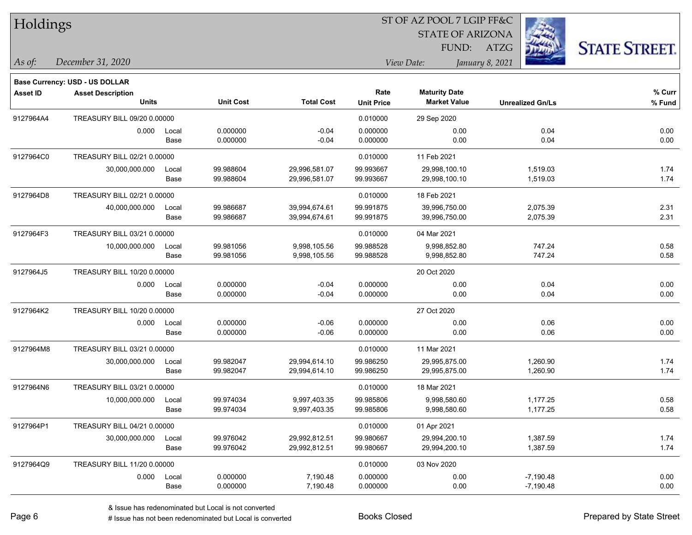| Holdings        |                                       |       |                  |                   |                   | ST OF AZ POOL 7 LGIP FF&C |                         |                      |  |  |
|-----------------|---------------------------------------|-------|------------------|-------------------|-------------------|---------------------------|-------------------------|----------------------|--|--|
|                 |                                       |       |                  |                   |                   | <b>STATE OF ARIZONA</b>   |                         |                      |  |  |
|                 |                                       |       |                  |                   |                   | FUND:                     | ATZG                    | <b>STATE STREET.</b> |  |  |
| As of:          | December 31, 2020                     |       |                  |                   |                   | View Date:                | January 8, 2021         |                      |  |  |
|                 | <b>Base Currency: USD - US DOLLAR</b> |       |                  |                   |                   |                           |                         |                      |  |  |
| <b>Asset ID</b> | <b>Asset Description</b>              |       |                  |                   | Rate              | <b>Maturity Date</b>      |                         | $%$ Curr             |  |  |
|                 | <b>Units</b>                          |       | <b>Unit Cost</b> | <b>Total Cost</b> | <b>Unit Price</b> | <b>Market Value</b>       | <b>Unrealized Gn/Ls</b> | % Fund               |  |  |
| 9127964A4       | TREASURY BILL 09/20 0.00000           |       |                  |                   | 0.010000          | 29 Sep 2020               |                         |                      |  |  |
|                 | 0.000                                 | Local | 0.000000         | $-0.04$           | 0.000000          | 0.00                      | 0.04                    | 0.00                 |  |  |
|                 |                                       | Base  | 0.000000         | $-0.04$           | 0.000000          | 0.00                      | 0.04                    | 0.00                 |  |  |
| 9127964C0       | TREASURY BILL 02/21 0.00000           |       |                  |                   | 0.010000          | 11 Feb 2021               |                         |                      |  |  |
|                 | 30,000,000.000                        | Local | 99.988604        | 29,996,581.07     | 99.993667         | 29,998,100.10             | 1,519.03                | 1.74                 |  |  |
|                 |                                       | Base  | 99.988604        | 29,996,581.07     | 99.993667         | 29,998,100.10             | 1,519.03                | 1.74                 |  |  |
| 9127964D8       | TREASURY BILL 02/21 0.00000           |       |                  |                   | 0.010000          | 18 Feb 2021               |                         |                      |  |  |
|                 | 40,000,000.000                        | Local | 99.986687        | 39,994,674.61     | 99.991875         | 39,996,750.00             | 2,075.39                | 2.31                 |  |  |
|                 |                                       | Base  | 99.986687        | 39,994,674.61     | 99.991875         | 39,996,750.00             | 2,075.39                | 2.31                 |  |  |
| 9127964F3       | TREASURY BILL 03/21 0.00000           |       |                  |                   | 0.010000          | 04 Mar 2021               |                         |                      |  |  |
|                 | 10,000,000.000                        | Local | 99.981056        | 9,998,105.56      | 99.988528         | 9,998,852.80              | 747.24                  | 0.58                 |  |  |
|                 |                                       | Base  | 99.981056        | 9,998,105.56      | 99.988528         | 9,998,852.80              | 747.24                  | 0.58                 |  |  |
| 9127964J5       | TREASURY BILL 10/20 0.00000           |       |                  |                   |                   | 20 Oct 2020               |                         |                      |  |  |
|                 | 0.000                                 | Local | 0.000000         | $-0.04$           | 0.000000          | 0.00                      | 0.04                    | 0.00                 |  |  |
|                 |                                       | Base  | 0.000000         | $-0.04$           | 0.000000          | 0.00                      | 0.04                    | 0.00                 |  |  |
| 9127964K2       | TREASURY BILL 10/20 0.00000           |       |                  |                   |                   | 27 Oct 2020               |                         |                      |  |  |
|                 | 0.000                                 | Local | 0.000000         | $-0.06$           | 0.000000          | 0.00                      | 0.06                    | 0.00                 |  |  |
|                 |                                       | Base  | 0.000000         | $-0.06$           | 0.000000          | 0.00                      | 0.06                    | 0.00                 |  |  |
| 9127964M8       | TREASURY BILL 03/21 0.00000           |       |                  |                   | 0.010000          | 11 Mar 2021               |                         |                      |  |  |
|                 | 30,000,000.000                        | Local | 99.982047        | 29,994,614.10     | 99.986250         | 29,995,875.00             | 1,260.90                | 1.74                 |  |  |
|                 |                                       | Base  | 99.982047        | 29,994,614.10     | 99.986250         | 29,995,875.00             | 1,260.90                | 1.74                 |  |  |
| 9127964N6       | TREASURY BILL 03/21 0.00000           |       |                  |                   | 0.010000          | 18 Mar 2021               |                         |                      |  |  |
|                 | 10,000,000.000                        | Local | 99.974034        | 9,997,403.35      | 99.985806         | 9,998,580.60              | 1,177.25                | 0.58                 |  |  |
|                 |                                       | Base  | 99.974034        | 9,997,403.35      | 99.985806         | 9,998,580.60              | 1,177.25                | 0.58                 |  |  |
| 9127964P1       | TREASURY BILL 04/21 0.00000           |       |                  |                   | 0.010000          | 01 Apr 2021               |                         |                      |  |  |
|                 | 30,000,000.000                        | Local | 99.976042        | 29,992,812.51     | 99.980667         | 29,994,200.10             | 1,387.59                | 1.74                 |  |  |
|                 |                                       | Base  | 99.976042        | 29,992,812.51     | 99.980667         | 29,994,200.10             | 1,387.59                | 1.74                 |  |  |
| 9127964Q9       | TREASURY BILL 11/20 0.00000           |       |                  |                   | 0.010000          | 03 Nov 2020               |                         |                      |  |  |
|                 | 0.000                                 | Local | 0.000000         | 7,190.48          | 0.000000          | 0.00                      | $-7,190.48$             | 0.00                 |  |  |
|                 |                                       | Base  | 0.000000         | 7,190.48          | 0.000000          | 0.00                      | $-7,190.48$             | 0.00                 |  |  |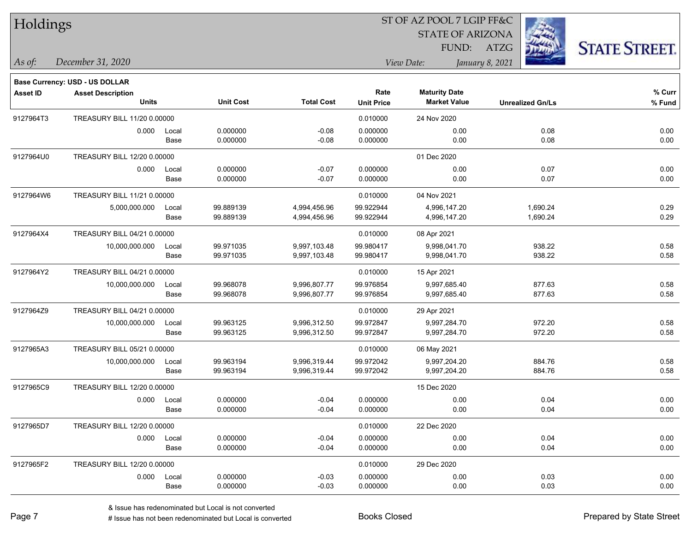| Holdings        |                                          |             |                  |                   | ST OF AZ POOL 7 LGIP FF&C |                                             |                         |                      |  |  |
|-----------------|------------------------------------------|-------------|------------------|-------------------|---------------------------|---------------------------------------------|-------------------------|----------------------|--|--|
|                 |                                          |             |                  |                   |                           | <b>STATE OF ARIZONA</b>                     |                         |                      |  |  |
|                 |                                          |             |                  |                   |                           | FUND: ATZG                                  |                         | <b>STATE STREET.</b> |  |  |
| $ $ As of:      | December 31, 2020                        |             |                  |                   |                           | View Date:                                  | January 8, 2021         |                      |  |  |
|                 |                                          |             |                  |                   |                           |                                             |                         |                      |  |  |
|                 | Base Currency: USD - US DOLLAR           |             |                  |                   |                           |                                             |                         |                      |  |  |
| <b>Asset ID</b> | <b>Asset Description</b><br><b>Units</b> |             | <b>Unit Cost</b> | <b>Total Cost</b> | Rate<br><b>Unit Price</b> | <b>Maturity Date</b><br><b>Market Value</b> | <b>Unrealized Gn/Ls</b> | % Curr<br>% Fund     |  |  |
| 9127964T3       | TREASURY BILL 11/20 0.00000              |             |                  |                   | 0.010000                  | 24 Nov 2020                                 |                         |                      |  |  |
|                 | 0.000                                    | Local       | 0.000000         | $-0.08$           | 0.000000                  | 0.00                                        | 0.08                    | 0.00                 |  |  |
|                 |                                          | Base        | 0.000000         | $-0.08$           | 0.000000                  | 0.00                                        | 0.08                    | 0.00                 |  |  |
| 9127964U0       | TREASURY BILL 12/20 0.00000              |             |                  |                   |                           | 01 Dec 2020                                 |                         |                      |  |  |
|                 | 0.000                                    | Local       | 0.000000         | $-0.07$           | 0.000000                  | 0.00                                        | 0.07                    | 0.00                 |  |  |
|                 |                                          | Base        | 0.000000         | $-0.07$           | 0.000000                  | 0.00                                        | 0.07                    | 0.00                 |  |  |
| 9127964W6       | TREASURY BILL 11/21 0.00000              |             |                  |                   | 0.010000                  | 04 Nov 2021                                 |                         |                      |  |  |
|                 | 5,000,000.000                            | Local       | 99.889139        | 4,994,456.96      | 99.922944                 | 4,996,147.20                                | 1,690.24                | 0.29                 |  |  |
|                 |                                          | Base        | 99.889139        | 4,994,456.96      | 99.922944                 | 4,996,147.20                                | 1,690.24                | 0.29                 |  |  |
| 9127964X4       | TREASURY BILL 04/21 0.00000              |             |                  |                   | 0.010000                  | 08 Apr 2021                                 |                         |                      |  |  |
|                 | 10,000,000.000                           | Local       | 99.971035        | 9,997,103.48      | 99.980417                 | 9,998,041.70                                | 938.22                  | 0.58                 |  |  |
|                 |                                          | Base        | 99.971035        | 9,997,103.48      | 99.980417                 | 9,998,041.70                                | 938.22                  | 0.58                 |  |  |
| 9127964Y2       | TREASURY BILL 04/21 0.00000              |             |                  |                   | 0.010000                  | 15 Apr 2021                                 |                         |                      |  |  |
|                 | 10,000,000.000                           | Local       | 99.968078        | 9,996,807.77      | 99.976854                 | 9,997,685.40                                | 877.63                  | 0.58                 |  |  |
|                 |                                          | Base        | 99.968078        | 9,996,807.77      | 99.976854                 | 9,997,685.40                                | 877.63                  | 0.58                 |  |  |
| 9127964Z9       | TREASURY BILL 04/21 0.00000              |             |                  |                   | 0.010000                  | 29 Apr 2021                                 |                         |                      |  |  |
|                 | 10,000,000.000                           | Local       | 99.963125        | 9,996,312.50      | 99.972847                 | 9,997,284.70                                | 972.20                  | 0.58                 |  |  |
|                 |                                          | Base        | 99.963125        | 9,996,312.50      | 99.972847                 | 9,997,284.70                                | 972.20                  | 0.58                 |  |  |
| 9127965A3       | TREASURY BILL 05/21 0.00000              |             |                  |                   | 0.010000                  | 06 May 2021                                 |                         |                      |  |  |
|                 | 10,000,000.000                           | Local       | 99.963194        | 9,996,319.44      | 99.972042                 | 9,997,204.20                                | 884.76                  | 0.58                 |  |  |
|                 |                                          | Base        | 99.963194        | 9,996,319.44      | 99.972042                 | 9,997,204.20                                | 884.76                  | 0.58                 |  |  |
| 9127965C9       | TREASURY BILL 12/20 0.00000              |             |                  |                   |                           | 15 Dec 2020                                 |                         |                      |  |  |
|                 | 0.000                                    | Local       | 0.000000         | $-0.04$           | 0.000000                  | 0.00                                        | 0.04                    | 0.00                 |  |  |
|                 |                                          | Base        | 0.000000         | $-0.04$           | 0.000000                  | 0.00                                        | 0.04                    | 0.00                 |  |  |
| 9127965D7       | TREASURY BILL 12/20 0.00000              |             |                  |                   | 0.010000                  | 22 Dec 2020                                 |                         |                      |  |  |
|                 |                                          | 0.000 Local | 0.000000         | $-0.04$           | 0.000000                  | 0.00                                        | 0.04                    | 0.00                 |  |  |
|                 |                                          | Base        | 0.000000         | $-0.04$           | 0.000000                  | 0.00                                        | 0.04                    | 0.00                 |  |  |
| 9127965F2       | TREASURY BILL 12/20 0.00000              |             |                  |                   | 0.010000                  | 29 Dec 2020                                 |                         |                      |  |  |
|                 | 0.000                                    | Local       | 0.000000         | $-0.03$           | 0.000000                  | 0.00                                        | 0.03                    | 0.00                 |  |  |
|                 |                                          | Base        | 0.000000         | $-0.03$           | 0.000000                  | 0.00                                        | 0.03                    | 0.00                 |  |  |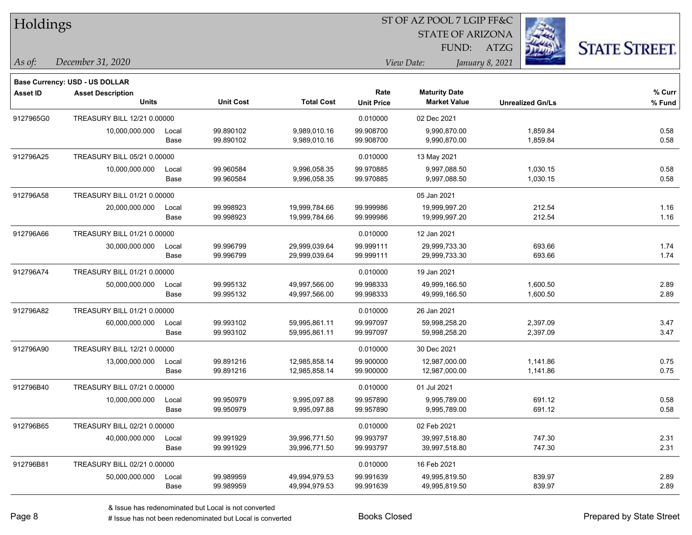| Holdings        |                                          |       |                  |                   | ST OF AZ POOL 7 LGIP FF&C |                         |                         |                      |  |  |
|-----------------|------------------------------------------|-------|------------------|-------------------|---------------------------|-------------------------|-------------------------|----------------------|--|--|
|                 |                                          |       |                  |                   |                           | <b>STATE OF ARIZONA</b> |                         |                      |  |  |
|                 |                                          |       |                  |                   |                           | FUND:                   | <b>ATZG</b>             | <b>STATE STREET.</b> |  |  |
| As of:          | December 31, 2020                        |       |                  |                   |                           | View Date:              | January 8, 2021         |                      |  |  |
|                 |                                          |       |                  |                   |                           |                         |                         |                      |  |  |
|                 | <b>Base Currency: USD - US DOLLAR</b>    |       |                  |                   | Rate                      | <b>Maturity Date</b>    |                         | % Curr               |  |  |
| <b>Asset ID</b> | <b>Asset Description</b><br><b>Units</b> |       | <b>Unit Cost</b> | <b>Total Cost</b> | <b>Unit Price</b>         | <b>Market Value</b>     | <b>Unrealized Gn/Ls</b> | % Fund               |  |  |
| 9127965G0       | TREASURY BILL 12/21 0.00000              |       |                  |                   | 0.010000                  | 02 Dec 2021             |                         |                      |  |  |
|                 | 10,000,000.000                           | Local | 99.890102        | 9,989,010.16      | 99.908700                 | 9,990,870.00            | 1,859.84                | 0.58                 |  |  |
|                 |                                          | Base  | 99.890102        | 9,989,010.16      | 99.908700                 | 9,990,870.00            | 1,859.84                | 0.58                 |  |  |
| 912796A25       | TREASURY BILL 05/21 0.00000              |       |                  |                   | 0.010000                  | 13 May 2021             |                         |                      |  |  |
|                 | 10,000,000.000                           | Local | 99.960584        | 9,996,058.35      | 99.970885                 | 9,997,088.50            | 1,030.15                | 0.58                 |  |  |
|                 |                                          | Base  | 99.960584        | 9,996,058.35      | 99.970885                 | 9,997,088.50            | 1,030.15                | 0.58                 |  |  |
| 912796A58       | TREASURY BILL 01/21 0.00000              |       |                  |                   |                           | 05 Jan 2021             |                         |                      |  |  |
|                 | 20,000,000.000                           | Local | 99.998923        | 19,999,784.66     | 99.999986                 | 19,999,997.20           | 212.54                  | 1.16                 |  |  |
|                 |                                          | Base  | 99.998923        | 19,999,784.66     | 99.999986                 | 19,999,997.20           | 212.54                  | 1.16                 |  |  |
| 912796A66       | TREASURY BILL 01/21 0.00000              |       |                  |                   | 0.010000                  | 12 Jan 2021             |                         |                      |  |  |
|                 | 30,000,000.000                           | Local | 99.996799        | 29,999,039.64     | 99.999111                 | 29,999,733.30           | 693.66                  | 1.74                 |  |  |
|                 |                                          | Base  | 99.996799        | 29,999,039.64     | 99.999111                 | 29,999,733.30           | 693.66                  | 1.74                 |  |  |
| 912796A74       | TREASURY BILL 01/21 0.00000              |       |                  |                   | 0.010000                  | 19 Jan 2021             |                         |                      |  |  |
|                 | 50,000,000.000                           | Local | 99.995132        | 49,997,566.00     | 99.998333                 | 49,999,166.50           | 1,600.50                | 2.89                 |  |  |
|                 |                                          | Base  | 99.995132        | 49,997,566.00     | 99.998333                 | 49,999,166.50           | 1,600.50                | 2.89                 |  |  |
| 912796A82       | TREASURY BILL 01/21 0.00000              |       |                  |                   | 0.010000                  | 26 Jan 2021             |                         |                      |  |  |
|                 | 60,000,000.000                           | Local | 99.993102        | 59,995,861.11     | 99.997097                 | 59,998,258.20           | 2,397.09                | 3.47                 |  |  |
|                 |                                          | Base  | 99.993102        | 59,995,861.11     | 99.997097                 | 59,998,258.20           | 2,397.09                | 3.47                 |  |  |
| 912796A90       | TREASURY BILL 12/21 0.00000              |       |                  |                   | 0.010000                  | 30 Dec 2021             |                         |                      |  |  |
|                 | 13,000,000.000                           | Local | 99.891216        | 12,985,858.14     | 99.900000                 | 12,987,000.00           | 1,141.86                | 0.75                 |  |  |
|                 |                                          | Base  | 99.891216        | 12,985,858.14     | 99.900000                 | 12,987,000.00           | 1,141.86                | 0.75                 |  |  |
| 912796B40       | TREASURY BILL 07/21 0.00000              |       |                  |                   | 0.010000                  | 01 Jul 2021             |                         |                      |  |  |
|                 | 10,000,000.000                           | Local | 99.950979        | 9,995,097.88      | 99.957890                 | 9,995,789.00            | 691.12                  | 0.58                 |  |  |
|                 |                                          | Base  | 99.950979        | 9,995,097.88      | 99.957890                 | 9,995,789.00            | 691.12                  | 0.58                 |  |  |
| 912796B65       | TREASURY BILL 02/21 0.00000              |       |                  |                   | 0.010000                  | 02 Feb 2021             |                         |                      |  |  |
|                 | 40,000,000.000                           | Local | 99.991929        | 39,996,771.50     | 99.993797                 | 39,997,518.80           | 747.30                  | 2.31                 |  |  |
|                 |                                          | Base  | 99.991929        | 39,996,771.50     | 99.993797                 | 39,997,518.80           | 747.30                  | 2.31                 |  |  |
| 912796B81       | TREASURY BILL 02/21 0.00000              |       |                  |                   | 0.010000                  | 16 Feb 2021             |                         |                      |  |  |
|                 | 50,000,000.000                           | Local | 99.989959        | 49,994,979.53     | 99.991639                 | 49,995,819.50           | 839.97                  | 2.89                 |  |  |
|                 |                                          | Base  | 99.989959        | 49,994,979.53     | 99.991639                 | 49,995,819.50           | 839.97                  | 2.89                 |  |  |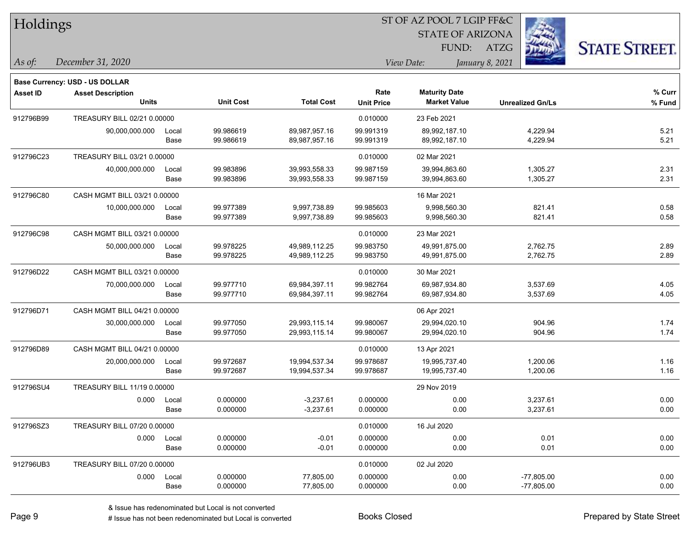| Holdings        |                                       |       |                  |                   | 51 OF AZ POOL 7 LGIP FF&C |                         |                         |                     |
|-----------------|---------------------------------------|-------|------------------|-------------------|---------------------------|-------------------------|-------------------------|---------------------|
|                 |                                       |       |                  |                   |                           | <b>STATE OF ARIZONA</b> |                         |                     |
|                 |                                       |       |                  |                   |                           | FUND:                   | ATZG                    | <b>STATE STREET</b> |
| As of:          | December 31, 2020                     |       |                  |                   |                           | View Date:              | January 8, 2021         |                     |
|                 | <b>Base Currency: USD - US DOLLAR</b> |       |                  |                   |                           |                         |                         |                     |
| <b>Asset ID</b> | <b>Asset Description</b>              |       |                  |                   | Rate                      | <b>Maturity Date</b>    |                         | % Curr              |
|                 | <b>Units</b>                          |       | <b>Unit Cost</b> | <b>Total Cost</b> | <b>Unit Price</b>         | <b>Market Value</b>     | <b>Unrealized Gn/Ls</b> | % Fund              |
| 912796B99       | TREASURY BILL 02/21 0.00000           |       |                  |                   | 0.010000                  | 23 Feb 2021             |                         |                     |
|                 | 90,000,000.000                        | Local | 99.986619        | 89,987,957.16     | 99.991319                 | 89,992,187.10           | 4,229.94                | 5.21                |
|                 |                                       | Base  | 99.986619        | 89,987,957.16     | 99.991319                 | 89,992,187.10           | 4,229.94                | 5.21                |
| 912796C23       | TREASURY BILL 03/21 0.00000           |       |                  |                   | 0.010000                  | 02 Mar 2021             |                         |                     |
|                 | 40,000,000.000                        | Local | 99.983896        | 39,993,558.33     | 99.987159                 | 39,994,863.60           | 1,305.27                | 2.31                |
|                 |                                       | Base  | 99.983896        | 39,993,558.33     | 99.987159                 | 39,994,863.60           | 1,305.27                | 2.31                |
| 912796C80       | CASH MGMT BILL 03/21 0.00000          |       |                  |                   |                           | 16 Mar 2021             |                         |                     |
|                 | 10,000,000.000                        | Local | 99.977389        | 9,997,738.89      | 99.985603                 | 9,998,560.30            | 821.41                  | 0.58                |
|                 |                                       | Base  | 99.977389        | 9,997,738.89      | 99.985603                 | 9,998,560.30            | 821.41                  | 0.58                |
| 912796C98       | CASH MGMT BILL 03/21 0.00000          |       |                  |                   | 0.010000                  | 23 Mar 2021             |                         |                     |
|                 | 50,000,000.000                        | Local | 99.978225        | 49,989,112.25     | 99.983750                 | 49,991,875.00           | 2,762.75                | 2.89                |
|                 |                                       | Base  | 99.978225        | 49,989,112.25     | 99.983750                 | 49,991,875.00           | 2,762.75                | 2.89                |
| 912796D22       | CASH MGMT BILL 03/21 0.00000          |       |                  |                   | 0.010000                  | 30 Mar 2021             |                         |                     |
|                 | 70,000,000.000                        | Local | 99.977710        | 69,984,397.11     | 99.982764                 | 69,987,934.80           | 3,537.69                | 4.05                |
|                 |                                       | Base  | 99.977710        | 69,984,397.11     | 99.982764                 | 69,987,934.80           | 3,537.69                | 4.05                |
| 912796D71       | CASH MGMT BILL 04/21 0.00000          |       |                  |                   |                           | 06 Apr 2021             |                         |                     |
|                 | 30,000,000.000                        | Local | 99.977050        | 29,993,115.14     | 99.980067                 | 29,994,020.10           | 904.96                  | 1.74                |
|                 |                                       | Base  | 99.977050        | 29,993,115.14     | 99.980067                 | 29,994,020.10           | 904.96                  | 1.74                |
| 912796D89       | CASH MGMT BILL 04/21 0.00000          |       |                  |                   | 0.010000                  | 13 Apr 2021             |                         |                     |
|                 | 20,000,000.000                        | Local | 99.972687        | 19,994,537.34     | 99.978687                 | 19,995,737.40           | 1,200.06                | 1.16                |
|                 |                                       | Base  | 99.972687        | 19,994,537.34     | 99.978687                 | 19,995,737.40           | 1,200.06                | 1.16                |
| 912796SU4       | TREASURY BILL 11/19 0.00000           |       |                  |                   |                           | 29 Nov 2019             |                         |                     |
|                 | 0.000                                 | Local | 0.000000         | $-3,237.61$       | 0.000000                  | 0.00                    | 3,237.61                | 0.00                |
|                 |                                       | Base  | 0.000000         | $-3,237.61$       | 0.000000                  | 0.00                    | 3,237.61                | 0.00                |
| 912796SZ3       | TREASURY BILL 07/20 0.00000           |       |                  |                   | 0.010000                  | 16 Jul 2020             |                         |                     |
|                 | 0.000 Local                           |       | 0.000000         | $-0.01$           | 0.000000                  | 0.00                    | 0.01                    | 0.00                |
|                 |                                       | Base  | 0.000000         | $-0.01$           | 0.000000                  | 0.00                    | 0.01                    | 0.00                |
| 912796UB3       | TREASURY BILL 07/20 0.00000           |       |                  |                   | 0.010000                  | 02 Jul 2020             |                         |                     |
|                 | 0.000                                 | Local | 0.000000         | 77,805.00         | 0.000000                  | 0.00                    | $-77,805.00$            | 0.00                |
|                 |                                       | Base  | 0.000000         | 77,805.00         | 0.000000                  | 0.00                    | $-77,805.00$            | 0.00                |

 $\overline{\text{SUSPQO}}$   $\overline{\text{SUSP}}$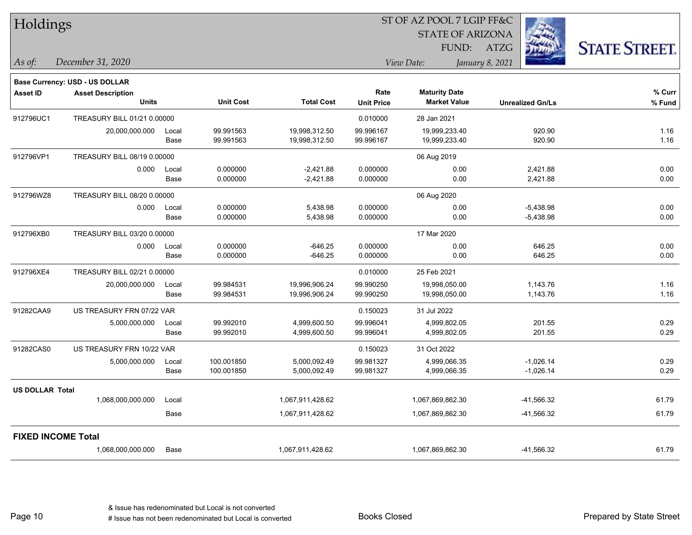| Holdings               |                                       |       |                  |                   | 51 OF AZ POOL 7 LGIP FF&C |                         |                         |                      |  |  |
|------------------------|---------------------------------------|-------|------------------|-------------------|---------------------------|-------------------------|-------------------------|----------------------|--|--|
|                        |                                       |       |                  |                   |                           | <b>STATE OF ARIZONA</b> |                         |                      |  |  |
|                        |                                       |       |                  |                   |                           | FUND:                   | ATZG                    | <b>STATE STREET.</b> |  |  |
| As of:                 | December 31, 2020                     |       |                  |                   |                           | View Date:              | January 8, 2021         |                      |  |  |
|                        | <b>Base Currency: USD - US DOLLAR</b> |       |                  |                   |                           |                         |                         |                      |  |  |
| <b>Asset ID</b>        | <b>Asset Description</b>              |       |                  |                   | Rate                      | <b>Maturity Date</b>    |                         | % Curr               |  |  |
|                        | <b>Units</b>                          |       | <b>Unit Cost</b> | <b>Total Cost</b> | <b>Unit Price</b>         | <b>Market Value</b>     | <b>Unrealized Gn/Ls</b> | % Fund               |  |  |
| 912796UC1              | TREASURY BILL 01/21 0.00000           |       |                  |                   | 0.010000                  | 28 Jan 2021             |                         |                      |  |  |
|                        | 20,000,000.000                        | Local | 99.991563        | 19,998,312.50     | 99.996167                 | 19,999,233.40           | 920.90                  | 1.16                 |  |  |
|                        |                                       | Base  | 99.991563        | 19,998,312.50     | 99.996167                 | 19,999,233.40           | 920.90                  | 1.16                 |  |  |
| 912796VP1              | TREASURY BILL 08/19 0.00000           |       |                  |                   |                           | 06 Aug 2019             |                         |                      |  |  |
|                        | 0.000                                 | Local | 0.000000         | $-2,421.88$       | 0.000000                  | 0.00                    | 2,421.88                | 0.00                 |  |  |
|                        |                                       | Base  | 0.000000         | $-2,421.88$       | 0.000000                  | 0.00                    | 2,421.88                | 0.00                 |  |  |
| 912796WZ8              | TREASURY BILL 08/20 0.00000           |       |                  |                   |                           | 06 Aug 2020             |                         |                      |  |  |
|                        | 0.000                                 | Local | 0.000000         | 5,438.98          | 0.000000                  | 0.00                    | $-5,438.98$             | 0.00                 |  |  |
|                        |                                       | Base  | 0.000000         | 5,438.98          | 0.000000                  | 0.00                    | $-5,438.98$             | 0.00                 |  |  |
| 912796XB0              | TREASURY BILL 03/20 0.00000           |       |                  |                   |                           | 17 Mar 2020             |                         |                      |  |  |
|                        | 0.000                                 | Local | 0.000000         | $-646.25$         | 0.000000                  | 0.00                    | 646.25                  | 0.00                 |  |  |
|                        |                                       | Base  | 0.000000         | $-646.25$         | 0.000000                  | 0.00                    | 646.25                  | 0.00                 |  |  |
| 912796XE4              | TREASURY BILL 02/21 0.00000           |       |                  |                   | 0.010000                  | 25 Feb 2021             |                         |                      |  |  |
|                        | 20,000,000.000                        | Local | 99.984531        | 19,996,906.24     | 99.990250                 | 19,998,050.00           | 1,143.76                | 1.16                 |  |  |
|                        |                                       | Base  | 99.984531        | 19,996,906.24     | 99.990250                 | 19,998,050.00           | 1,143.76                | 1.16                 |  |  |
| 91282CAA9              | US TREASURY FRN 07/22 VAR             |       |                  |                   | 0.150023                  | 31 Jul 2022             |                         |                      |  |  |
|                        | 5,000,000.000                         | Local | 99.992010        | 4,999,600.50      | 99.996041                 | 4,999,802.05            | 201.55                  | 0.29                 |  |  |
|                        |                                       | Base  | 99.992010        | 4,999,600.50      | 99.996041                 | 4,999,802.05            | 201.55                  | 0.29                 |  |  |
| 91282CAS0              | US TREASURY FRN 10/22 VAR             |       |                  |                   | 0.150023                  | 31 Oct 2022             |                         |                      |  |  |
|                        | 5,000,000.000                         | Local | 100.001850       | 5,000,092.49      | 99.981327                 | 4,999,066.35            | $-1,026.14$             | 0.29                 |  |  |
|                        |                                       | Base  | 100.001850       | 5,000,092.49      | 99.981327                 | 4,999,066.35            | $-1,026.14$             | 0.29                 |  |  |
| <b>US DOLLAR Total</b> |                                       |       |                  |                   |                           |                         |                         |                      |  |  |
|                        | 1,068,000,000.000                     | Local |                  | 1,067,911,428.62  |                           | 1,067,869,862.30        | -41,566.32              | 61.79                |  |  |
|                        |                                       | Base  |                  | 1,067,911,428.62  |                           | 1,067,869,862.30        | -41,566.32              | 61.79                |  |  |
|                        | <b>FIXED INCOME Total</b>             |       |                  |                   |                           |                         |                         |                      |  |  |
|                        | 1,068,000,000.000                     | Base  |                  | 1,067,911,428.62  |                           | 1,067,869,862.30        | -41,566.32              | 61.79                |  |  |
|                        |                                       |       |                  |                   |                           |                         |                         |                      |  |  |

 $\overline{\text{SUSPQO}}$   $\overline{\text{SUSP}}$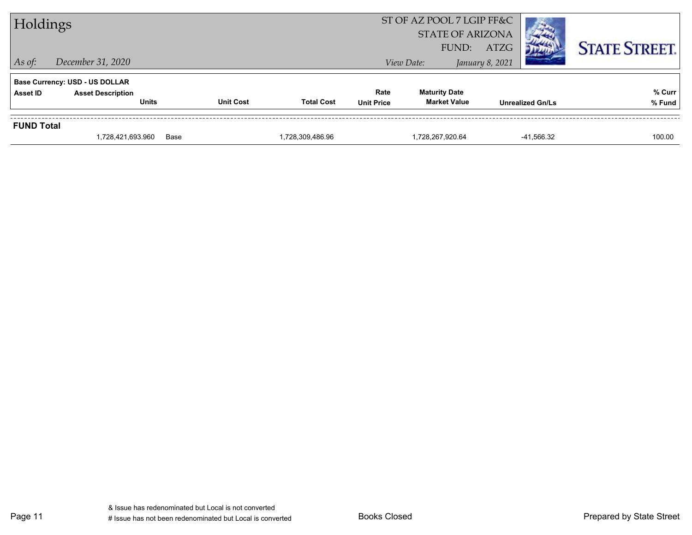| Holdings          |                                                                                   |                  |                   |                           | ST OF AZ POOL 7 LGIP FF&C<br><b>STATE OF ARIZONA</b><br>FUND: | <b>ATZG</b>             | <b>STATE STREET.</b> |
|-------------------|-----------------------------------------------------------------------------------|------------------|-------------------|---------------------------|---------------------------------------------------------------|-------------------------|----------------------|
| $\vert$ As of:    | December 31, 2020                                                                 |                  |                   |                           | View Date:                                                    | January 8, 2021         |                      |
| <b>Asset ID</b>   | <b>Base Currency: USD - US DOLLAR</b><br><b>Asset Description</b><br><b>Units</b> | <b>Unit Cost</b> | <b>Total Cost</b> | Rate<br><b>Unit Price</b> | <b>Maturity Date</b><br><b>Market Value</b>                   | <b>Unrealized Gn/Ls</b> | % Curr<br>% Fund     |
| <b>FUND Total</b> | 1,728,421,693.960                                                                 | Base             | 1,728,309,486.96  |                           | 1,728,267,920.64                                              | -41,566.32              | 100.00               |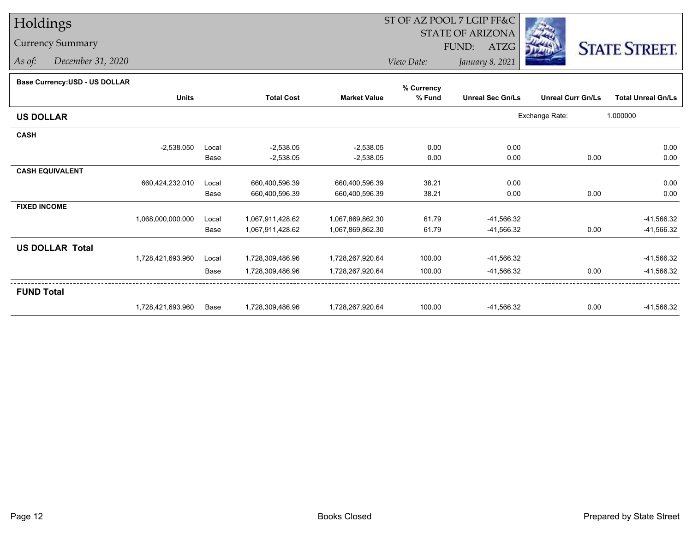## Holdings

## Currency Summary

*As of: December 31, 2020*

## ST OF AZ POOL 7 LGIP FF&C

STATE OF ARIZONA

FUND: ATZG



*View Date:January 8, 2021*

| Base Currency: USD - US DOLLAR |  |
|--------------------------------|--|
|                                |  |

| <b>Base Currency:USD - US DOLLAR</b> |                   |       |                   |                     | % Currency |                         |                          |                           |
|--------------------------------------|-------------------|-------|-------------------|---------------------|------------|-------------------------|--------------------------|---------------------------|
|                                      | <b>Units</b>      |       | <b>Total Cost</b> | <b>Market Value</b> | % Fund     | <b>Unreal Sec Gn/Ls</b> | <b>Unreal Curr Gn/Ls</b> | <b>Total Unreal Gn/Ls</b> |
| <b>US DOLLAR</b>                     |                   |       |                   |                     |            |                         | Exchange Rate:           | 1.000000                  |
| <b>CASH</b>                          |                   |       |                   |                     |            |                         |                          |                           |
|                                      | $-2,538.050$      | Local | $-2,538.05$       | $-2,538.05$         | 0.00       | 0.00                    |                          | 0.00                      |
|                                      |                   | Base  | $-2,538.05$       | $-2,538.05$         | 0.00       | 0.00                    | 0.00                     | 0.00                      |
| <b>CASH EQUIVALENT</b>               |                   |       |                   |                     |            |                         |                          |                           |
|                                      | 660,424,232.010   | Local | 660,400,596.39    | 660,400,596.39      | 38.21      | 0.00                    |                          | 0.00                      |
|                                      |                   | Base  | 660,400,596.39    | 660,400,596.39      | 38.21      | 0.00                    | 0.00                     | 0.00                      |
| <b>FIXED INCOME</b>                  |                   |       |                   |                     |            |                         |                          |                           |
|                                      | 1,068,000,000.000 | Local | 1,067,911,428.62  | 1,067,869,862.30    | 61.79      | -41,566.32              |                          | -41,566.32                |
|                                      |                   | Base  | 1,067,911,428.62  | 1,067,869,862.30    | 61.79      | -41,566.32              | 0.00                     | -41,566.32                |
| <b>US DOLLAR Total</b>               |                   |       |                   |                     |            |                         |                          |                           |
|                                      | 1,728,421,693.960 | Local | 1,728,309,486.96  | 1,728,267,920.64    | 100.00     | -41,566.32              |                          | -41,566.32                |
|                                      |                   | Base  | 1,728,309,486.96  | 1,728,267,920.64    | 100.00     | -41,566.32              | 0.00                     | -41,566.32                |
| <b>FUND Total</b>                    |                   |       |                   |                     |            |                         |                          |                           |
|                                      | 1,728,421,693.960 | Base  | 1,728,309,486.96  | 1,728,267,920.64    | 100.00     | -41,566.32              | 0.00                     | -41,566.32                |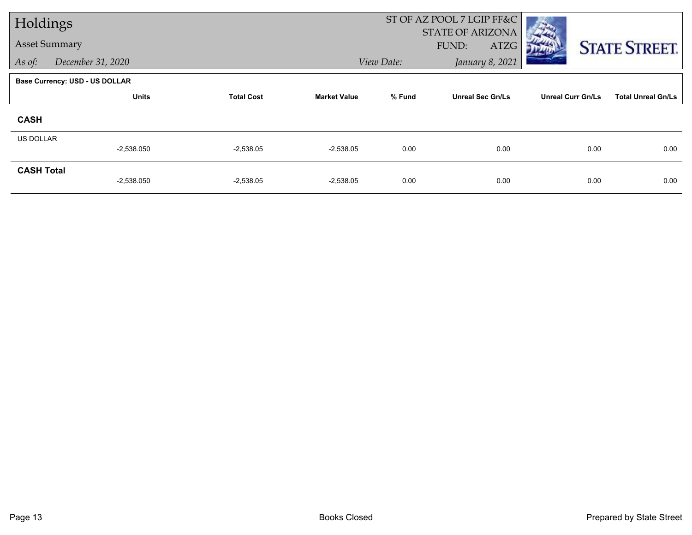| Holdings             |                                |                   |                     | ST OF AZ POOL 7 LGIP FF&C |                         |                          |                           |  |
|----------------------|--------------------------------|-------------------|---------------------|---------------------------|-------------------------|--------------------------|---------------------------|--|
|                      |                                |                   |                     |                           | <b>STATE OF ARIZONA</b> |                          |                           |  |
| <b>Asset Summary</b> |                                |                   |                     |                           | FUND:<br>ATZG           |                          | <b>STATE STREET.</b>      |  |
| As of:               | December 31, 2020              |                   |                     | View Date:                | January 8, 2021         |                          |                           |  |
|                      | Base Currency: USD - US DOLLAR |                   |                     |                           |                         |                          |                           |  |
|                      | <b>Units</b>                   | <b>Total Cost</b> | <b>Market Value</b> | % Fund                    | <b>Unreal Sec Gn/Ls</b> | <b>Unreal Curr Gn/Ls</b> | <b>Total Unreal Gn/Ls</b> |  |
| <b>CASH</b>          |                                |                   |                     |                           |                         |                          |                           |  |
| US DOLLAR            |                                |                   |                     |                           |                         |                          |                           |  |
|                      | $-2,538.050$                   | $-2,538.05$       | $-2,538.05$         | 0.00                      | 0.00                    | 0.00                     | 0.00                      |  |
| <b>CASH Total</b>    |                                |                   |                     |                           |                         |                          |                           |  |
|                      | $-2,538.050$                   | $-2,538.05$       | $-2,538.05$         | 0.00                      | 0.00                    | 0.00                     | 0.00                      |  |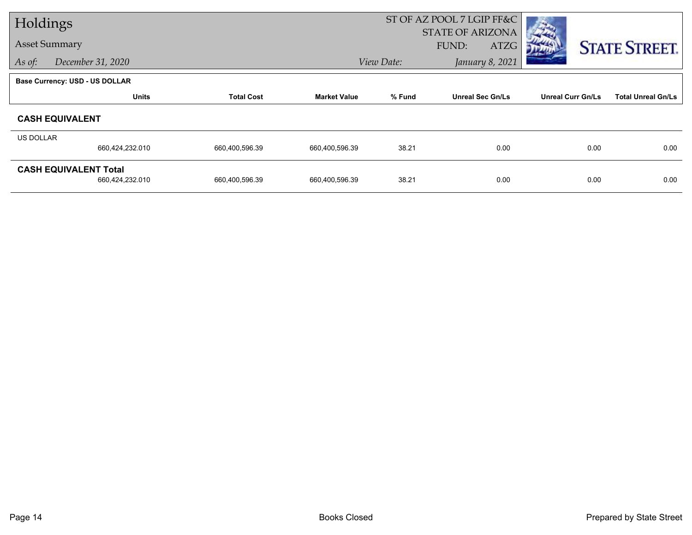| Holdings  |                                       |                   |                     | ST OF AZ POOL 7 LGIP FF&C     |                         |                          |                           |
|-----------|---------------------------------------|-------------------|---------------------|-------------------------------|-------------------------|--------------------------|---------------------------|
|           |                                       |                   |                     |                               | <b>STATE OF ARIZONA</b> |                          |                           |
|           | <b>Asset Summary</b>                  |                   |                     |                               | ATZG<br>FUND:           |                          | <b>STATE STREET.</b>      |
| As of:    | December 31, 2020                     |                   |                     | View Date:<br>January 8, 2021 |                         |                          |                           |
|           | <b>Base Currency: USD - US DOLLAR</b> |                   |                     |                               |                         |                          |                           |
|           | <b>Units</b>                          | <b>Total Cost</b> | <b>Market Value</b> | % Fund                        | <b>Unreal Sec Gn/Ls</b> | <b>Unreal Curr Gn/Ls</b> | <b>Total Unreal Gn/Ls</b> |
|           | <b>CASH EQUIVALENT</b>                |                   |                     |                               |                         |                          |                           |
| US DOLLAR |                                       |                   |                     |                               |                         |                          |                           |
|           | 660,424,232.010                       | 660,400,596.39    | 660,400,596.39      | 38.21                         | 0.00                    | 0.00                     | 0.00                      |
|           | <b>CASH EQUIVALENT Total</b>          |                   |                     |                               |                         |                          |                           |
|           | 660,424,232.010                       | 660,400,596.39    | 660,400,596.39      | 38.21                         | 0.00                    | 0.00                     | 0.00                      |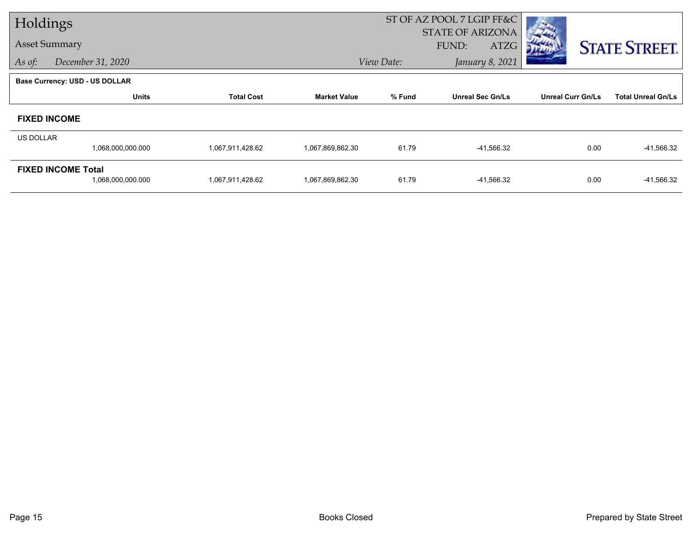| Holdings         |                                                |                   |                     | ST OF AZ POOL 7 LGIP FF&C |                                                 |                          |                           |  |
|------------------|------------------------------------------------|-------------------|---------------------|---------------------------|-------------------------------------------------|--------------------------|---------------------------|--|
|                  | <b>Asset Summary</b>                           |                   |                     |                           | <b>STATE OF ARIZONA</b><br><b>ATZG</b><br>FUND: |                          |                           |  |
| As of:           | December 31, 2020                              |                   |                     | View Date:                | January 8, 2021                                 |                          | <b>STATE STREET.</b>      |  |
|                  | <b>Base Currency: USD - US DOLLAR</b>          |                   |                     |                           |                                                 |                          |                           |  |
|                  | <b>Units</b>                                   | <b>Total Cost</b> | <b>Market Value</b> | % Fund                    | <b>Unreal Sec Gn/Ls</b>                         | <b>Unreal Curr Gn/Ls</b> | <b>Total Unreal Gn/Ls</b> |  |
|                  | <b>FIXED INCOME</b>                            |                   |                     |                           |                                                 |                          |                           |  |
| <b>US DOLLAR</b> |                                                |                   |                     |                           |                                                 |                          |                           |  |
|                  | 1,068,000,000.000                              | 1,067,911,428.62  | 1,067,869,862.30    | 61.79                     | -41,566.32                                      | 0.00                     | -41,566.32                |  |
|                  | <b>FIXED INCOME Total</b><br>1,068,000,000.000 | 1,067,911,428.62  | 1,067,869,862.30    | 61.79                     | -41,566.32                                      | 0.00                     | -41,566.32                |  |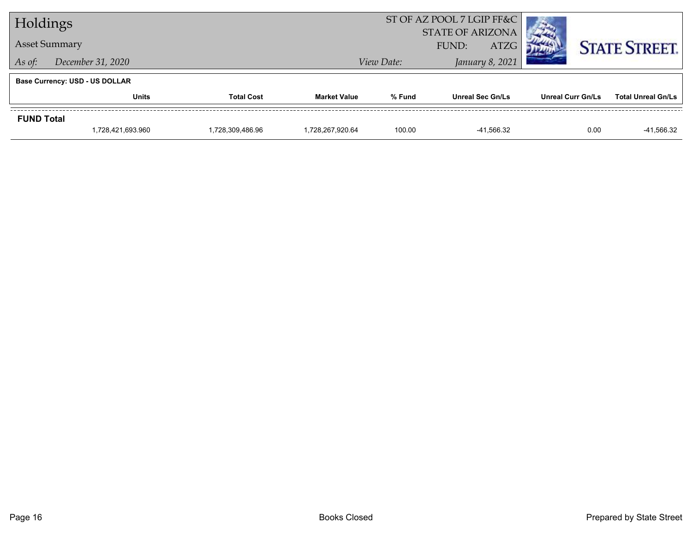| Holdings                    |                                       |                  |                     |                               | ST OF AZ POOL 7 LGIP FF&C |                          |                           |  |
|-----------------------------|---------------------------------------|------------------|---------------------|-------------------------------|---------------------------|--------------------------|---------------------------|--|
|                             |                                       |                  |                     | <b>STATE OF ARIZONA</b>       |                           |                          |                           |  |
| <b>Asset Summary</b>        |                                       |                  |                     | <b>ATZG</b><br>FUND:          |                           |                          | <b>STATE STREET.</b>      |  |
| December 31, 2020<br>As of: |                                       |                  |                     | January 8, 2021<br>View Date: |                           |                          |                           |  |
|                             | <b>Base Currency: USD - US DOLLAR</b> |                  |                     |                               |                           |                          |                           |  |
|                             | <b>Units</b><br><b>Total Cost</b>     |                  | <b>Market Value</b> | % Fund                        | <b>Unreal Sec Gn/Ls</b>   | <b>Unreal Curr Gn/Ls</b> | <b>Total Unreal Gn/Ls</b> |  |
| <b>FUND Total</b>           |                                       |                  |                     |                               |                           |                          |                           |  |
|                             | 1,728,421,693.960                     | 1.728.309.486.96 | 1.728.267.920.64    | 100.00                        | -41.566.32                | 0.00                     | -41,566.32                |  |